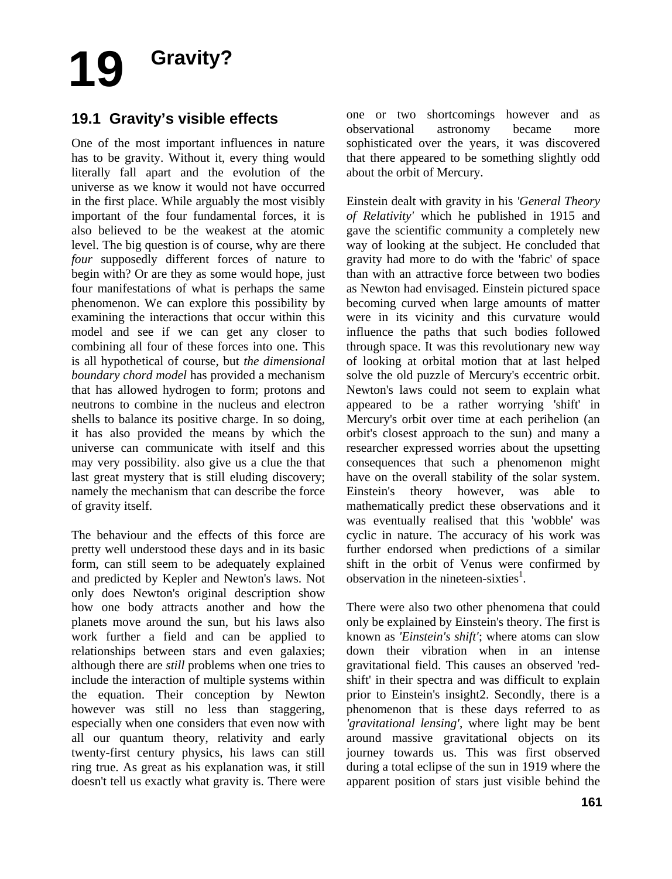## **Gravity? 19**

## **19.1 Gravity's visible effects**

One of the most important influences in nature has to be gravity. Without it, every thing would literally fall apart and the evolution of the universe as we know it would not have occurred in the first place. While arguably the most visibly important of the four fundamental forces, it is also believed to be the weakest at the atomic level. The big question is of course, why are there *four* supposedly different forces of nature to begin with? Or are they as some would hope, just four manifestations of what is perhaps the same phenomenon. We can explore this possibility by examining the interactions that occur within this model and see if we can get any closer to combining all four of these forces into one. This is all hypothetical of course, but *the dimensional boundary chord model* has provided a mechanism that has allowed hydrogen to form; protons and neutrons to combine in the nucleus and electron shells to balance its positive charge. In so doing, it has also provided the means by which the universe can communicate with itself and this may very possibility. also give us a clue the that last great mystery that is still eluding discovery; namely the mechanism that can describe the force of gravity itself.

The behaviour and the effects of this force are pretty well understood these days and in its basic form, can still seem to be adequately explained and predicted by Kepler and Newton's laws. Not only does Newton's original description show how one body attracts another and how the planets move around the sun, but his laws also work further a field and can be applied to relationships between stars and even galaxies; although there are *still* problems when one tries to include the interaction of multiple systems within the equation. Their conception by Newton however was still no less than staggering, especially when one considers that even now with all our quantum theory, relativity and early twenty-first century physics, his laws can still ring true. As great as his explanation was, it still doesn't tell us exactly what gravity is. There were one or two shortcomings however and as observational astronomy became more sophisticated over the years, it was discovered that there appeared to be something slightly odd about the orbit of Mercury.

Einstein dealt with gravity in his *'General Theory of Relativity'* which he published in 1915 and gave the scientific community a completely new way of looking at the subject. He concluded that gravity had more to do with the 'fabric' of space than with an attractive force between two bodies as Newton had envisaged. Einstein pictured space becoming curved when large amounts of matter were in its vicinity and this curvature would influence the paths that such bodies followed through space. It was this revolutionary new way of looking at orbital motion that at last helped solve the old puzzle of Mercury's eccentric orbit. Newton's laws could not seem to explain what appeared to be a rather worrying 'shift' in Mercury's orbit over time at each perihelion (an orbit's closest approach to the sun) and many a researcher expressed worries about the upsetting consequences that such a phenomenon might have on the overall stability of the solar system. Einstein's theory however, was able to mathematically predict these observations and it was eventually realised that this 'wobble' was cyclic in nature. The accuracy of his work was further endorsed when predictions of a similar shift in the orbit of Venus were confirmed by observation in the nineteen-sixties<sup>1</sup>.

There were also two other phenomena that could only be explained by Einstein's theory. The first is known as *'Einstein's shift'*; where atoms can slow down their vibration when in an intense gravitational field. This causes an observed 'redshift' in their spectra and was difficult to explain prior to Einstein's insight2. Secondly, there is a phenomenon that is these days referred to as *'gravitational lensing'*, where light may be bent around massive gravitational objects on its journey towards us. This was first observed during a total eclipse of the sun in 1919 where the apparent position of stars just visible behind the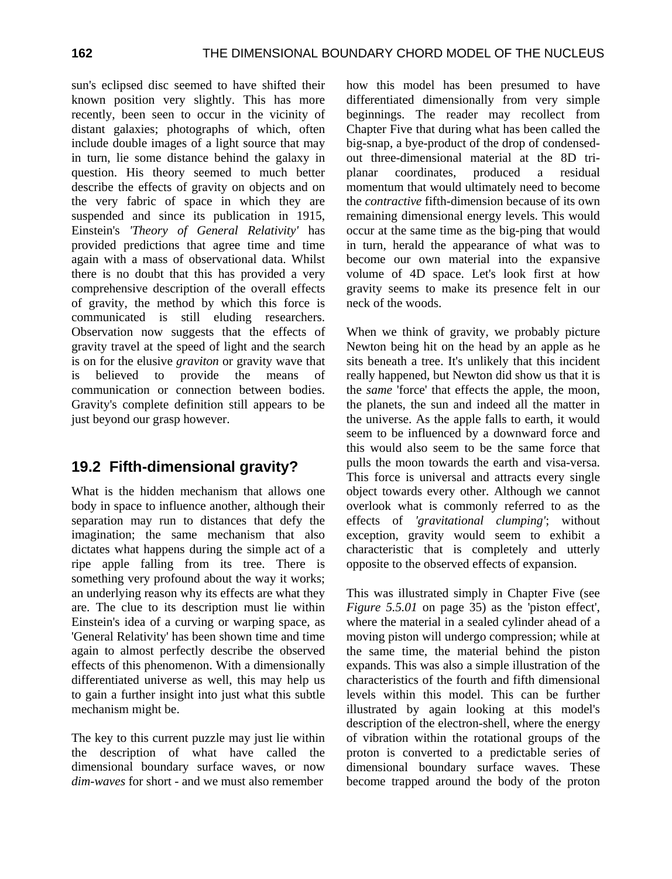sun's eclipsed disc seemed to have shifted their known position very slightly. This has more recently, been seen to occur in the vicinity of distant galaxies; photographs of which, often include double images of a light source that may in turn, lie some distance behind the galaxy in question. His theory seemed to much better describe the effects of gravity on objects and on the very fabric of space in which they are suspended and since its publication in 1915, Einstein's *'Theory of General Relativity'* has provided predictions that agree time and time again with a mass of observational data. Whilst there is no doubt that this has provided a very comprehensive description of the overall effects of gravity, the method by which this force is communicated is still eluding researchers. Observation now suggests that the effects of gravity travel at the speed of light and the search is on for the elusive *graviton* or gravity wave that is believed to provide the means of communication or connection between bodies. Gravity's complete definition still appears to be just beyond our grasp however.

## **19.2 Fifth-dimensional gravity?**

What is the hidden mechanism that allows one body in space to influence another, although their separation may run to distances that defy the imagination; the same mechanism that also dictates what happens during the simple act of a ripe apple falling from its tree. There is something very profound about the way it works; an underlying reason why its effects are what they are. The clue to its description must lie within Einstein's idea of a curving or warping space, as 'General Relativity' has been shown time and time again to almost perfectly describe the observed effects of this phenomenon. With a dimensionally differentiated universe as well, this may help us to gain a further insight into just what this subtle mechanism might be.

The key to this current puzzle may just lie within the description of what have called the dimensional boundary surface waves, or now *dim-waves* for short - and we must also remember

how this model has been presumed to have differentiated dimensionally from very simple beginnings. The reader may recollect from Chapter Five that during what has been called the big-snap, a bye-product of the drop of condensedout three-dimensional material at the 8D triplanar coordinates, produced a residual momentum that would ultimately need to become the *contractive* fifth-dimension because of its own remaining dimensional energy levels. This would occur at the same time as the big-ping that would in turn, herald the appearance of what was to become our own material into the expansive volume of 4D space. Let's look first at how gravity seems to make its presence felt in our neck of the woods.

When we think of gravity, we probably picture Newton being hit on the head by an apple as he sits beneath a tree. It's unlikely that this incident really happened, but Newton did show us that it is the *same* 'force' that effects the apple, the moon, the planets, the sun and indeed all the matter in the universe. As the apple falls to earth, it would seem to be influenced by a downward force and this would also seem to be the same force that pulls the moon towards the earth and visa-versa. This force is universal and attracts every single object towards every other. Although we cannot overlook what is commonly referred to as the effects of *'gravitational clumping'*; without exception, gravity would seem to exhibit a characteristic that is completely and utterly opposite to the observed effects of expansion.

This was illustrated simply in Chapter Five (see *Figure 5.5.01* on page 35) as the 'piston effect', where the material in a sealed cylinder ahead of a moving piston will undergo compression; while at the same time, the material behind the piston expands. This was also a simple illustration of the characteristics of the fourth and fifth dimensional levels within this model. This can be further illustrated by again looking at this model's description of the electron-shell, where the energy of vibration within the rotational groups of the proton is converted to a predictable series of dimensional boundary surface waves. These become trapped around the body of the proton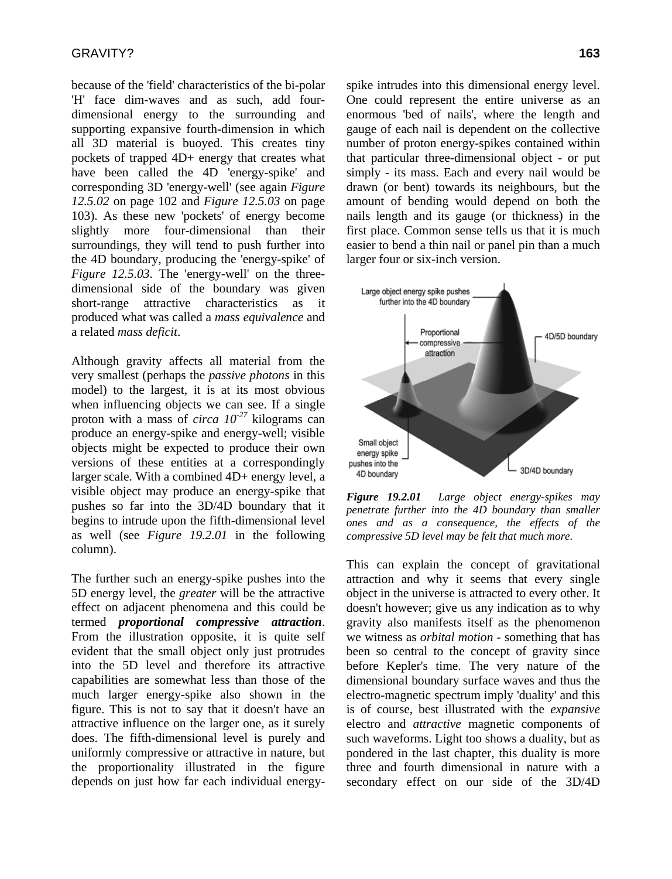because of the 'field' characteristics of the bi-polar 'H' face dim-waves and as such, add fourdimensional energy to the surrounding and supporting expansive fourth-dimension in which all 3D material is buoyed. This creates tiny pockets of trapped 4D+ energy that creates what have been called the 4D 'energy-spike' and corresponding 3D 'energy-well' (see again *Figure 12.5.02* on page 102 and *Figure 12.5.03* on page 103). As these new 'pockets' of energy become slightly more four-dimensional than their surroundings, they will tend to push further into the 4D boundary, producing the 'energy-spike' of *Figure 12.5.03*. The 'energy-well' on the threedimensional side of the boundary was given short-range attractive characteristics as it produced what was called a *mass equivalence* and a related *mass deficit*.

Although gravity affects all material from the very smallest (perhaps the *passive photons* in this model) to the largest, it is at its most obvious when influencing objects we can see. If a single proton with a mass of *circa 10-27* kilograms can produce an energy-spike and energy-well; visible objects might be expected to produce their own versions of these entities at a correspondingly larger scale. With a combined 4D+ energy level, a visible object may produce an energy-spike that pushes so far into the 3D/4D boundary that it begins to intrude upon the fifth-dimensional level as well (see *Figure 19.2.01* in the following column).

The further such an energy-spike pushes into the 5D energy level, the *greater* will be the attractive effect on adjacent phenomena and this could be termed *proportional compressive attraction*. From the illustration opposite, it is quite self evident that the small object only just protrudes into the 5D level and therefore its attractive capabilities are somewhat less than those of the much larger energy-spike also shown in the figure. This is not to say that it doesn't have an attractive influence on the larger one, as it surely does. The fifth-dimensional level is purely and uniformly compressive or attractive in nature, but the proportionality illustrated in the figure depends on just how far each individual energyspike intrudes into this dimensional energy level. One could represent the entire universe as an enormous 'bed of nails', where the length and gauge of each nail is dependent on the collective number of proton energy-spikes contained within that particular three-dimensional object - or put simply - its mass. Each and every nail would be drawn (or bent) towards its neighbours, but the amount of bending would depend on both the nails length and its gauge (or thickness) in the first place. Common sense tells us that it is much easier to bend a thin nail or panel pin than a much larger four or six-inch version.



*Figure 19.2.01 Large object energy-spikes may penetrate further into the 4D boundary than smaller ones and as a consequence, the effects of the compressive 5D level may be felt that much more.* 

This can explain the concept of gravitational attraction and why it seems that every single object in the universe is attracted to every other. It doesn't however; give us any indication as to why gravity also manifests itself as the phenomenon we witness as *orbital motion* - something that has been so central to the concept of gravity since before Kepler's time. The very nature of the dimensional boundary surface waves and thus the electro-magnetic spectrum imply 'duality' and this is of course, best illustrated with the *expansive* electro and *attractive* magnetic components of such waveforms. Light too shows a duality, but as pondered in the last chapter, this duality is more three and fourth dimensional in nature with a secondary effect on our side of the 3D/4D